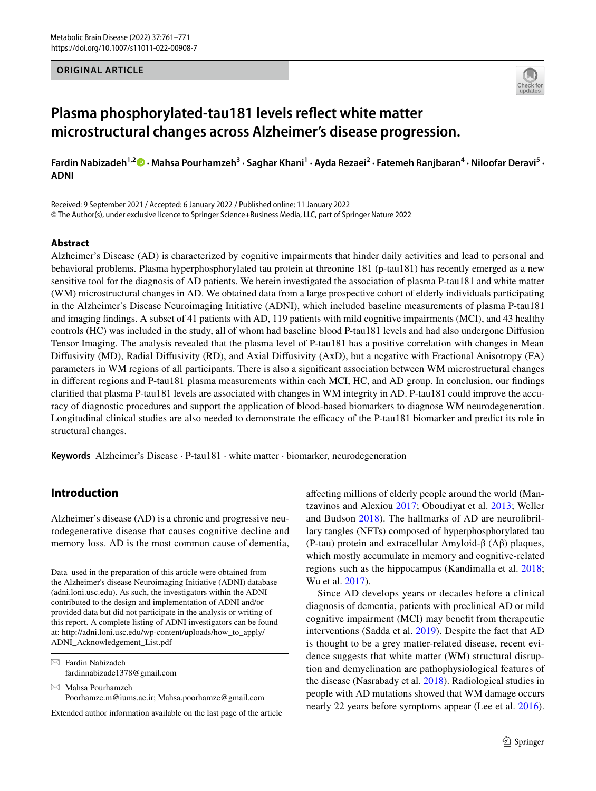#### **ORIGINAL ARTICLE**



# **Plasma phosphorylated-tau181 levels refect white matter microstructural changes across Alzheimer's disease progression.**

**Fardin Nabizadeh1,[2](http://orcid.org/0000-0002-4633-3340) · Mahsa Pourhamzeh<sup>3</sup> · Saghar Khani<sup>1</sup> · Ayda Rezaei<sup>2</sup> · Fatemeh Ranjbaran<sup>4</sup> · Niloofar Deravi<sup>5</sup> · ADNI**

Received: 9 September 2021 / Accepted: 6 January 2022 / Published online: 11 January 2022 © The Author(s), under exclusive licence to Springer Science+Business Media, LLC, part of Springer Nature 2022

#### **Abstract**

Alzheimer's Disease (AD) is characterized by cognitive impairments that hinder daily activities and lead to personal and behavioral problems. Plasma hyperphosphorylated tau protein at threonine 181 (p-tau181) has recently emerged as a new sensitive tool for the diagnosis of AD patients. We herein investigated the association of plasma P-tau181 and white matter (WM) microstructural changes in AD. We obtained data from a large prospective cohort of elderly individuals participating in the Alzheimer's Disease Neuroimaging Initiative (ADNI), which included baseline measurements of plasma P-tau181 and imaging fndings. A subset of 41 patients with AD, 119 patients with mild cognitive impairments (MCI), and 43 healthy controls (HC) was included in the study, all of whom had baseline blood P-tau181 levels and had also undergone Difusion Tensor Imaging. The analysis revealed that the plasma level of P-tau181 has a positive correlation with changes in Mean Difusivity (MD), Radial Difusivity (RD), and Axial Difusivity (AxD), but a negative with Fractional Anisotropy (FA) parameters in WM regions of all participants. There is also a signifcant association between WM microstructural changes in diferent regions and P-tau181 plasma measurements within each MCI, HC, and AD group. In conclusion, our fndings clarifed that plasma P-tau181 levels are associated with changes in WM integrity in AD. P-tau181 could improve the accuracy of diagnostic procedures and support the application of blood-based biomarkers to diagnose WM neurodegeneration. Longitudinal clinical studies are also needed to demonstrate the efficacy of the P-tau181 biomarker and predict its role in structural changes.

**Keywords** Alzheimer's Disease · P-tau181 · white matter · biomarker, neurodegeneration

## **Introduction**

Alzheimer's disease (AD) is a chronic and progressive neurodegenerative disease that causes cognitive decline and memory loss. AD is the most common cause of dementia,

Data used in the preparation of this article were obtained from the Alzheimer's disease Neuroimaging Initiative (ADNI) database (adni.loni.usc.edu). As such, the investigators within the ADNI contributed to the design and implementation of ADNI and/or provided data but did not participate in the analysis or writing of this report. A complete listing of ADNI investigators can be found at: http://adni.loni.usc.edu/wp-content/uploads/how\_to\_apply/ ADNI\_Acknowledgement\_List.pdf

 $\boxtimes$  Fardin Nabizadeh fardinnabizade1378@gmail.com

 $\boxtimes$  Mahsa Pourhamzeh Poorhamze.m@iums.ac.ir; Mahsa.poorhamze@gmail.com

Extended author information available on the last page of the article

afecting millions of elderly people around the world (Mantzavinos and Alexiou [2017](#page-9-0); Oboudiyat et al. [2013](#page-9-1); Weller and Budson [2018](#page-9-2)). The hallmarks of AD are neurofbrillary tangles (NFTs) composed of hyperphosphorylated tau (P-tau) protein and extracellular Amyloid-β (Aβ) plaques, which mostly accumulate in memory and cognitive-related regions such as the hippocampus (Kandimalla et al. [2018](#page-8-0); Wu et al. [2017\)](#page-9-3).

Since AD develops years or decades before a clinical diagnosis of dementia, patients with preclinical AD or mild cognitive impairment (MCI) may beneft from therapeutic interventions (Sadda et al. [2019\)](#page-9-4). Despite the fact that AD is thought to be a grey matter-related disease, recent evidence suggests that white matter (WM) structural disruption and demyelination are pathophysiological features of the disease (Nasrabady et al. [2018\)](#page-9-5). Radiological studies in people with AD mutations showed that WM damage occurs nearly 22 years before symptoms appear (Lee et al. [2016](#page-8-1)).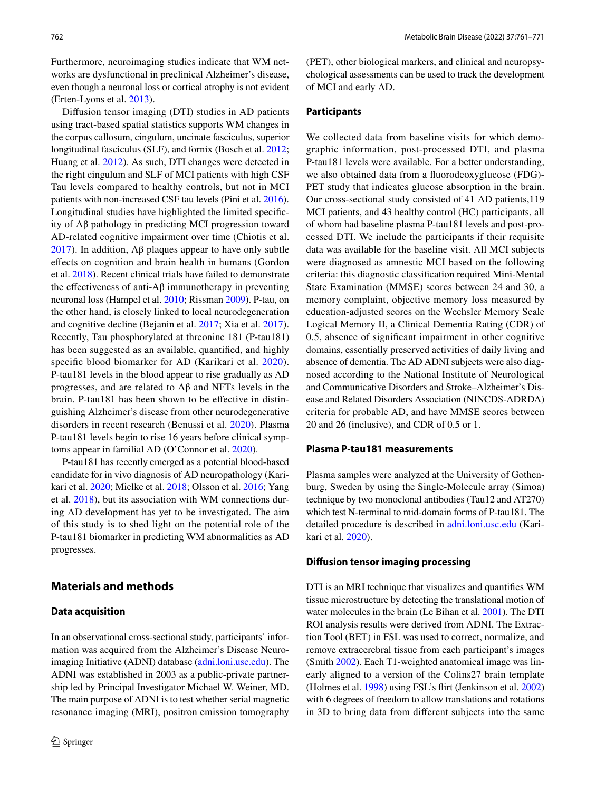Furthermore, neuroimaging studies indicate that WM networks are dysfunctional in preclinical Alzheimer's disease, even though a neuronal loss or cortical atrophy is not evident (Erten-Lyons et al. [2013](#page-8-2)).

Difusion tensor imaging (DTI) studies in AD patients using tract-based spatial statistics supports WM changes in the corpus callosum, cingulum, uncinate fasciculus, superior longitudinal fasciculus (SLF), and fornix (Bosch et al. [2012](#page-7-0); Huang et al. [2012\)](#page-8-3). As such, DTI changes were detected in the right cingulum and SLF of MCI patients with high CSF Tau levels compared to healthy controls, but not in MCI patients with non-increased CSF tau levels (Pini et al. [2016](#page-9-6)). Longitudinal studies have highlighted the limited specifcity of Aβ pathology in predicting MCI progression toward AD-related cognitive impairment over time (Chiotis et al. [2017\)](#page-7-1). In addition, Aβ plaques appear to have only subtle efects on cognition and brain health in humans (Gordon et al. [2018](#page-8-4)). Recent clinical trials have failed to demonstrate the effectiveness of anti- $A\beta$  immunotherapy in preventing neuronal loss (Hampel et al. [2010;](#page-8-5) Rissman [2009](#page-9-7)). P-tau, on the other hand, is closely linked to local neurodegeneration and cognitive decline (Bejanin et al. [2017;](#page-7-2) Xia et al. [2017](#page-10-0)). Recently, Tau phosphorylated at threonine 181 (P-tau181) has been suggested as an available, quantifed, and highly specific blood biomarker for AD (Karikari et al. [2020](#page-8-6)). P-tau181 levels in the blood appear to rise gradually as AD progresses, and are related to Aβ and NFTs levels in the brain. P-tau181 has been shown to be efective in distinguishing Alzheimer's disease from other neurodegenerative disorders in recent research (Benussi et al. [2020\)](#page-7-3). Plasma P-tau181 levels begin to rise 16 years before clinical symptoms appear in familial AD (O'Connor et al. [2020](#page-9-8)).

P-tau181 has recently emerged as a potential blood-based candidate for in vivo diagnosis of AD neuropathology (Karikari et al. [2020](#page-8-6); Mielke et al. [2018;](#page-9-9) Olsson et al. [2016](#page-9-10); Yang et al. [2018](#page-10-1)), but its association with WM connections during AD development has yet to be investigated. The aim of this study is to shed light on the potential role of the P-tau181 biomarker in predicting WM abnormalities as AD progresses.

## **Materials and methods**

#### **Data acquisition**

In an observational cross-sectional study, participants' information was acquired from the Alzheimer's Disease Neuroimaging Initiative (ADNI) database ([adni.loni.usc.edu\)](http://adni.loni.usc.edu). The ADNI was established in 2003 as a public-private partnership led by Principal Investigator Michael W. Weiner, MD. The main purpose of ADNI is to test whether serial magnetic resonance imaging (MRI), positron emission tomography

(PET), other biological markers, and clinical and neuropsychological assessments can be used to track the development of MCI and early AD.

#### **Participants**

We collected data from baseline visits for which demographic information, post-processed DTI, and plasma P-tau181 levels were available. For a better understanding, we also obtained data from a fuorodeoxyglucose (FDG)- PET study that indicates glucose absorption in the brain. Our cross-sectional study consisted of 41 AD patients,119 MCI patients, and 43 healthy control (HC) participants, all of whom had baseline plasma P-tau181 levels and post-processed DTI. We include the participants if their requisite data was available for the baseline visit. All MCI subjects were diagnosed as amnestic MCI based on the following criteria: this diagnostic classifcation required Mini-Mental State Examination (MMSE) scores between 24 and 30, a memory complaint, objective memory loss measured by education-adjusted scores on the Wechsler Memory Scale Logical Memory II, a Clinical Dementia Rating (CDR) of 0.5, absence of signifcant impairment in other cognitive domains, essentially preserved activities of daily living and absence of dementia. The AD ADNI subjects were also diagnosed according to the National Institute of Neurological and Communicative Disorders and Stroke–Alzheimer's Disease and Related Disorders Association (NINCDS-ADRDA) criteria for probable AD, and have MMSE scores between 20 and 26 (inclusive), and CDR of 0.5 or 1.

#### **Plasma P‑tau181 measurements**

Plasma samples were analyzed at the University of Gothenburg, Sweden by using the Single-Molecule array (Simoa) technique by two monoclonal antibodies (Tau12 and AT270) which test N-terminal to mid-domain forms of P-tau181. The detailed procedure is described in [adni.loni.usc.edu](http://adni.loni.usc.edu) (Karikari et al. [2020\)](#page-8-6).

#### **Difusion tensor imaging processing**

DTI is an MRI technique that visualizes and quantifes WM tissue microstructure by detecting the translational motion of water molecules in the brain (Le Bihan et al. [2001](#page-8-7)). The DTI ROI analysis results were derived from ADNI. The Extraction Tool (BET) in FSL was used to correct, normalize, and remove extracerebral tissue from each participant's images (Smith [2002\)](#page-9-11). Each T1-weighted anatomical image was linearly aligned to a version of the Colins27 brain template (Holmes et al. [1998\)](#page-8-8) using FSL's firt (Jenkinson et al. [2002\)](#page-8-9) with 6 degrees of freedom to allow translations and rotations in 3D to bring data from diferent subjects into the same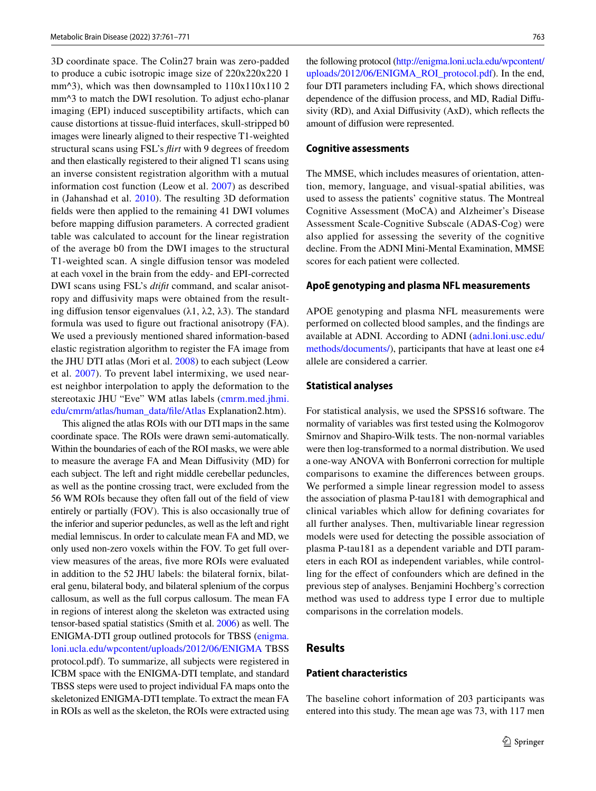3D coordinate space. The Colin27 brain was zero-padded to produce a cubic isotropic image size of 220x220x220 1 mm $\frac{3}{2}$ , which was then downsampled to  $110x110x110$  2 mm<sup> $\land$ 3</sup> to match the DWI resolution. To adjust echo-planar imaging (EPI) induced susceptibility artifacts, which can cause distortions at tissue-fuid interfaces, skull-stripped b0 images were linearly aligned to their respective T1-weighted structural scans using FSL's *firt* with 9 degrees of freedom and then elastically registered to their aligned T1 scans using an inverse consistent registration algorithm with a mutual information cost function (Leow et al. [2007\)](#page-8-10) as described in (Jahanshad et al. [2010](#page-8-11)). The resulting 3D deformation felds were then applied to the remaining 41 DWI volumes before mapping difusion parameters. A corrected gradient table was calculated to account for the linear registration of the average b0 from the DWI images to the structural T1-weighted scan. A single difusion tensor was modeled at each voxel in the brain from the eddy- and EPI-corrected DWI scans using FSL's *dtift* command, and scalar anisotropy and difusivity maps were obtained from the resulting diffusion tensor eigenvalues (λ1, λ2, λ3). The standard formula was used to fgure out fractional anisotropy (FA). We used a previously mentioned shared information-based elastic registration algorithm to register the FA image from the JHU DTI atlas (Mori et al. [2008](#page-9-12)) to each subject (Leow et al. [2007\)](#page-8-10). To prevent label intermixing, we used nearest neighbor interpolation to apply the deformation to the stereotaxic JHU "Eve" WM atlas labels ([cmrm.med.jhmi.](http://cmrm.med.jhmi.edu/cmrm/atlas/human_data/file/Atlas) [edu/cmrm/atlas/human\\_data/fle/Atlas](http://cmrm.med.jhmi.edu/cmrm/atlas/human_data/file/Atlas) Explanation2.htm).

This aligned the atlas ROIs with our DTI maps in the same coordinate space. The ROIs were drawn semi-automatically. Within the boundaries of each of the ROI masks, we were able to measure the average FA and Mean Difusivity (MD) for each subject. The left and right middle cerebellar peduncles, as well as the pontine crossing tract, were excluded from the 56 WM ROIs because they often fall out of the feld of view entirely or partially (FOV). This is also occasionally true of the inferior and superior peduncles, as well as the left and right medial lemniscus. In order to calculate mean FA and MD, we only used non-zero voxels within the FOV. To get full overview measures of the areas, fve more ROIs were evaluated in addition to the 52 JHU labels: the bilateral fornix, bilateral genu, bilateral body, and bilateral splenium of the corpus callosum, as well as the full corpus callosum. The mean FA in regions of interest along the skeleton was extracted using tensor-based spatial statistics (Smith et al. [2006](#page-9-13)) as well. The ENIGMA-DTI group outlined protocols for TBSS [\(enigma.](http://enigma.loni.ucla.edu/wpcontent/uploads/2012/06/ENIGMA) [loni.ucla.edu/wpcontent/uploads/2012/06/ENIGMA](http://enigma.loni.ucla.edu/wpcontent/uploads/2012/06/ENIGMA) TBSS protocol.pdf). To summarize, all subjects were registered in ICBM space with the ENIGMA-DTI template, and standard TBSS steps were used to project individual FA maps onto the skeletonized ENIGMA-DTI template. To extract the mean FA in ROIs as well as the skeleton, the ROIs were extracted using

the following protocol [\(http://enigma.loni.ucla.edu/wpcontent/](http://enigma.loni.ucla.edu/wpcontent/uploads/2012/06/ENIGMA_ROI_protocol.pdf) [uploads/2012/06/ENIGMA\\_ROI\\_protocol.pdf](http://enigma.loni.ucla.edu/wpcontent/uploads/2012/06/ENIGMA_ROI_protocol.pdf)). In the end, four DTI parameters including FA, which shows directional dependence of the difusion process, and MD, Radial Difusivity (RD), and Axial Difusivity (AxD), which refects the amount of difusion were represented.

#### **Cognitive assessments**

The MMSE, which includes measures of orientation, attention, memory, language, and visual-spatial abilities, was used to assess the patients' cognitive status. The Montreal Cognitive Assessment (MoCA) and Alzheimer's Disease Assessment Scale-Cognitive Subscale (ADAS-Cog) were also applied for assessing the severity of the cognitive decline. From the ADNI Mini-Mental Examination, MMSE scores for each patient were collected.

#### **ApoE genotyping and plasma NFL measurements**

APOE genotyping and plasma NFL measurements were performed on collected blood samples, and the fndings are available at ADNI. According to ADNI ([adni.loni.usc.edu/](http://adni.loni.usc.edu/methods/documents/) [methods/documents/\)](http://adni.loni.usc.edu/methods/documents/), participants that have at least one ε4 allele are considered a carrier.

#### **Statistical analyses**

For statistical analysis, we used the SPSS16 software. The normality of variables was frst tested using the Kolmogorov Smirnov and Shapiro-Wilk tests. The non-normal variables were then log-transformed to a normal distribution. We used a one-way ANOVA with Bonferroni correction for multiple comparisons to examine the diferences between groups. We performed a simple linear regression model to assess the association of plasma P-tau181 with demographical and clinical variables which allow for defning covariates for all further analyses. Then, multivariable linear regression models were used for detecting the possible association of plasma P-tau181 as a dependent variable and DTI parameters in each ROI as independent variables, while controlling for the efect of confounders which are defned in the previous step of analyses. Benjamini Hochberg's correction method was used to address type I error due to multiple comparisons in the correlation models.

#### **Results**

### **Patient characteristics**

The baseline cohort information of 203 participants was entered into this study. The mean age was 73, with 117 men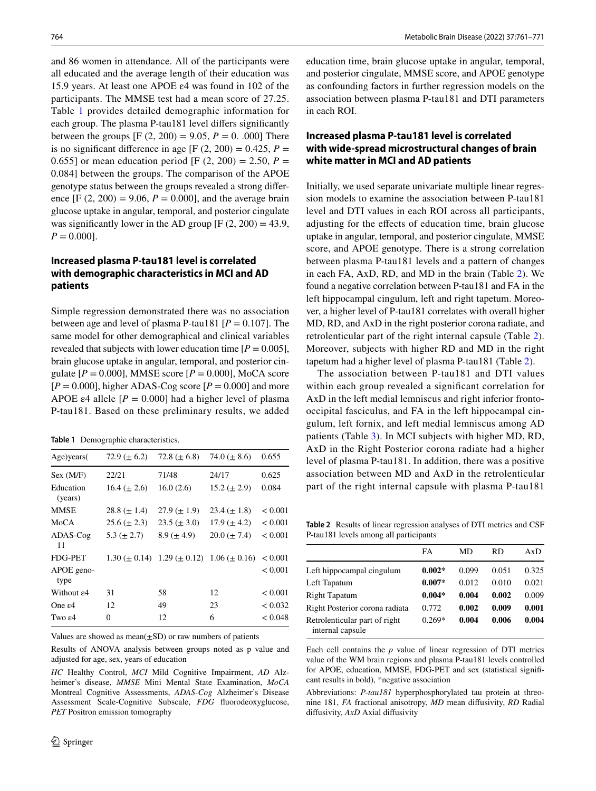and 86 women in attendance. All of the participants were all educated and the average length of their education was 15.9 years. At least one APOE ε4 was found in 102 of the participants. The MMSE test had a mean score of 27.25. Table [1](#page-3-0) provides detailed demographic information for each group. The plasma P-tau181 level difers signifcantly between the groups  $[F (2, 200) = 9.05, P = 0, .000]$  There is no significant difference in age [F  $(2, 200) = 0.425$ ,  $P =$ 0.655] or mean education period [F  $(2, 200) = 2.50$ ,  $P =$ 0.084] between the groups. The comparison of the APOE genotype status between the groups revealed a strong diference  $[F (2, 200) = 9.06, P = 0.000]$ , and the average brain glucose uptake in angular, temporal, and posterior cingulate was significantly lower in the AD group  $[F (2, 200) = 43.9,$  $P = 0.000$ .

## **Increased plasma P‑tau181 level is correlated with demographic characteristics in MCI and AD patients**

Simple regression demonstrated there was no association between age and level of plasma P-tau181  $[P = 0.107]$ . The same model for other demographical and clinical variables revealed that subjects with lower education time  $[P = 0.005]$ , brain glucose uptake in angular, temporal, and posterior cingulate  $[P = 0.000]$ , MMSE score  $[P = 0.000]$ , MoCA score  $[P = 0.000]$ , higher ADAS-Cog score  $[P = 0.000]$  and more APOE  $\varepsilon$ 4 allele  $[P = 0.000]$  had a higher level of plasma P-tau181. Based on these preliminary results, we added

<span id="page-3-0"></span>**Table 1** Demographic characteristics.

| Age)years(              | 72.9 ( $\pm$ 6.2)   | 72.8 ( $\pm$ 6.8)  | 74.0 ( $\pm$ 8.6)                       | 0.655          |
|-------------------------|---------------------|--------------------|-----------------------------------------|----------------|
| Sex (M/F)               | 22/21               | 71/48              | 24/17                                   | 0.625          |
| Education<br>(years)    | $16.4 \ (\pm 2.6)$  | 16.0(2.6)          | $15.2 (\pm 2.9)$                        | 0.084          |
| <b>MMSE</b>             | $28.8 (\pm 1.4)$    | $27.9 \ (\pm 1.9)$ | $23.4 \ (\pm 1.8)$                      | < 0.001        |
| MoCA                    | $25.6 (\pm 2.3)$    | $23.5 (\pm 3.0)$   | $17.9 \ (\pm 4.2)$                      | ${}_{< 0.001}$ |
| ADAS-Cog<br>11          | $5.3 (\pm 2.7)$     | $8.9 \ (\pm 4.9)$  | $20.0 (\pm 7.4)$                        | < 0.001        |
| FDG-PET                 | $1.30 \ (\pm 0.14)$ |                    | $1.29 \ (\pm 0.12)$ $1.06 \ (\pm 0.16)$ | ${}_{0.001}$   |
| APOE geno-<br>type      |                     |                    |                                         | < 0.001        |
| Without $\varepsilon$ 4 | 31                  | 58                 | 12                                      | < 0.001        |
| One $\varepsilon$ 4     | 12                  | 49                 | 23                                      | < 0.032        |
| Two $\varepsilon$ 4     | 0                   | 12                 | 6                                       | < 0.048        |

Values are showed as mean $(\pm SD)$  or raw numbers of patients

Results of ANOVA analysis between groups noted as p value and adjusted for age, sex, years of education

*HC* Healthy Control, *MCI* Mild Cognitive Impairment, *AD* Alzheimer's disease, *MMSE* Mini Mental State Examination, *MoCA* Montreal Cognitive Assessments, *ADAS-Cog* Alzheimer's Disease Assessment Scale-Cognitive Subscale, *FDG* fuorodeoxyglucose, *PET* Positron emission tomography

education time, brain glucose uptake in angular, temporal, and posterior cingulate, MMSE score, and APOE genotype as confounding factors in further regression models on the association between plasma P-tau181 and DTI parameters in each ROI.

## **Increased plasma P‑tau181 level is correlated with wide‑spread microstructural changes of brain white matter in MCI and AD patients**

Initially, we used separate univariate multiple linear regression models to examine the association between P-tau181 level and DTI values in each ROI across all participants, adjusting for the efects of education time, brain glucose uptake in angular, temporal, and posterior cingulate, MMSE score, and APOE genotype. There is a strong correlation between plasma P-tau181 levels and a pattern of changes in each FA, AxD, RD, and MD in the brain (Table [2](#page-3-1)). We found a negative correlation between P-tau181 and FA in the left hippocampal cingulum, left and right tapetum. Moreover, a higher level of P-tau181 correlates with overall higher MD, RD, and AxD in the right posterior corona radiate, and retrolenticular part of the right internal capsule (Table [2](#page-3-1)). Moreover, subjects with higher RD and MD in the right tapetum had a higher level of plasma P-tau181 (Table [2](#page-3-1)).

The association between P-tau181 and DTI values within each group revealed a signifcant correlation for AxD in the left medial lemniscus and right inferior frontooccipital fasciculus, and FA in the left hippocampal cingulum, left fornix, and left medial lemniscus among AD patients (Table [3](#page-4-0)). In MCI subjects with higher MD, RD, AxD in the Right Posterior corona radiate had a higher level of plasma P-tau181. In addition, there was a positive association between MD and AxD in the retrolenticular part of the right internal capsule with plasma P-tau181

<span id="page-3-1"></span>**Table 2** Results of linear regression analyses of DTI metrics and CSF P-tau181 levels among all participants

|                                                   | FA       | MD    | RD    | AxD   |
|---------------------------------------------------|----------|-------|-------|-------|
| Left hippocampal cingulum                         | $0.002*$ | 0.099 | 0.051 | 0.325 |
| Left Tapatum                                      | $0.007*$ | 0.012 | 0.010 | 0.021 |
| <b>Right Tapatum</b>                              | $0.004*$ | 0.004 | 0.002 | 0.009 |
| Right Posterior corona radiata                    | 0.772    | 0.002 | 0.009 | 0.001 |
| Retrolenticular part of right<br>internal capsule | $0.269*$ | 0.004 | 0.006 | 0.004 |

Each cell contains the *p* value of linear regression of DTI metrics value of the WM brain regions and plasma P-tau181 levels controlled for APOE, education, MMSE, FDG-PET and sex (statistical signifcant results in bold), \*negative association

Abbreviations: *P-tau181* hyperphosphorylated tau protein at threonine 181, *FA* fractional anisotropy, *MD* mean difusivity, *RD* Radial difusivity, *AxD* Axial difusivity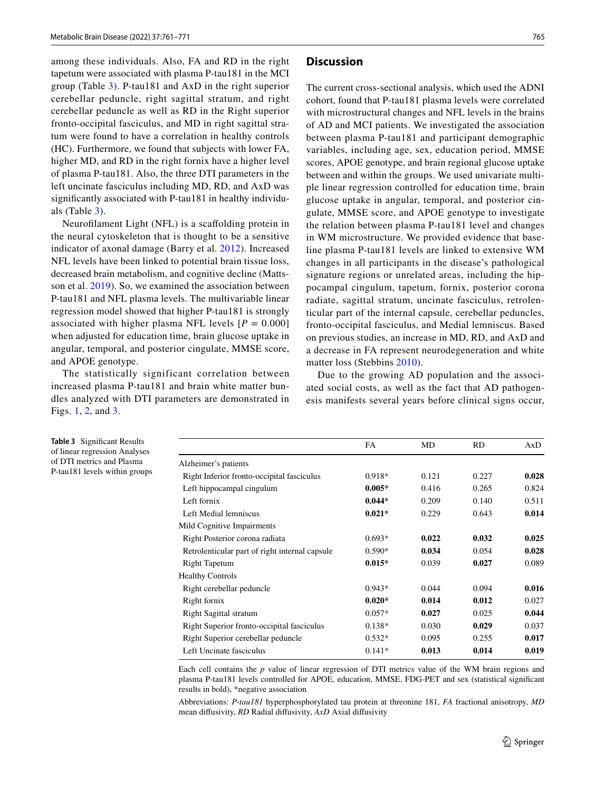among these individuals. Also, FA and RD in the right tapetum were associated with plasma P-tau181 in the MCI group (Table [3\)](#page-4-0). P-tau181 and AxD in the right superior cerebellar peduncle, right sagittal stratum, and right cerebellar peduncle as well as RD in the Right superior fronto-occipital fasciculus, and MD in right sagittal stratum were found to have a correlation in healthy controls (HC). Furthermore, we found that subjects with lower FA, higher MD, and RD in the right fornix have a higher level of plasma P-tau181. Also, the three DTI parameters in the left uncinate fasciculus including MD, RD, and AxD was signifcantly associated with P-tau181 in healthy individuals (Table [3\)](#page-4-0).

Neuroflament Light (NFL) is a scafolding protein in the neural cytoskeleton that is thought to be a sensitive indicator of axonal damage (Barry et al. [2012\)](#page-7-4). Increased NFL levels have been linked to potential brain tissue loss, decreased brain metabolism, and cognitive decline (Mattsson et al. [2019\)](#page-9-14). So, we examined the association between P-tau181 and NFL plasma levels. The multivariable linear regression model showed that higher P-tau181 is strongly associated with higher plasma NFL levels  $[P = 0.000]$ when adjusted for education time, brain glucose uptake in angular, temporal, and posterior cingulate, MMSE score, and APOE genotype.

The statistically significant correlation between increased plasma P-tau181 and brain white matter bundles analyzed with DTI parameters are demonstrated in Figs. [1](#page-5-0), [2,](#page-5-1) and [3.](#page-5-2)

#### **Discussion**

The current cross-sectional analysis, which used the ADNI cohort, found that P-tau181 plasma levels were correlated with microstructural changes and NFL levels in the brains of AD and MCI patients. We investigated the association between plasma P-tau181 and participant demographic variables, including age, sex, education period, MMSE scores, APOE genotype, and brain regional glucose uptake between and within the groups. We used univariate multiple linear regression controlled for education time, brain glucose uptake in angular, temporal, and posterior cingulate, MMSE score, and APOE genotype to investigate the relation between plasma P-tau181 level and changes in WM microstructure. We provided evidence that baseline plasma P-tau181 levels are linked to extensive WM changes in all participants in the disease's pathological signature regions or unrelated areas, including the hippocampal cingulum, tapetum, fornix, posterior corona radiate, sagittal stratum, uncinate fasciculus, retrolenticular part of the internal capsule, cerebellar peduncles, fronto-occipital fasciculus, and Medial lemniscus. Based on previous studies, an increase in MD, RD, and AxD and a decrease in FA represent neurodegeneration and white matter loss (Stebbins [2010\)](#page-9-15).

Due to the growing AD population and the associated social costs, as well as the fact that AD pathogenesis manifests several years before clinical signs occur,

<span id="page-4-0"></span>**Table 3** Signifcant Results of linear regression Analyses of DTI metrics and Plasma P-tau181 levels within groups

|                                                | FA       | MD    | <b>RD</b> | AxD   |
|------------------------------------------------|----------|-------|-----------|-------|
| Alzheimer's patients                           |          |       |           |       |
| Right Inferior fronto-occipital fasciculus     | $0.918*$ | 0.121 | 0.227     | 0.028 |
| Left hippocampal cingulum                      | $0.005*$ | 0.416 | 0.265     | 0.824 |
| Left fornix                                    | $0.044*$ | 0.209 | 0.140     | 0.511 |
| Left Medial lemniscus                          | $0.021*$ | 0.229 | 0.643     | 0.014 |
| Mild Cognitive Impairments                     |          |       |           |       |
| Right Posterior corona radiata                 | $0.693*$ | 0.022 | 0.032     | 0.025 |
| Retrolenticular part of right internal capsule | $0.590*$ | 0.034 | 0.054     | 0.028 |
| <b>Right Tapetum</b>                           | $0.015*$ | 0.039 | 0.027     | 0.089 |
| <b>Healthy Controls</b>                        |          |       |           |       |
| Right cerebellar peduncle                      | $0.943*$ | 0.044 | 0.094     | 0.016 |
| Right fornix                                   | $0.020*$ | 0.014 | 0.012     | 0.027 |
| <b>Right Sagittal stratum</b>                  | $0.057*$ | 0.027 | 0.025     | 0.044 |
| Right Superior fronto-occipital fasciculus     | $0.138*$ | 0.030 | 0.029     | 0.037 |
| Right Superior cerebellar peduncle             | $0.532*$ | 0.095 | 0.255     | 0.017 |
| Left Uncinate fasciculus                       | $0.141*$ | 0.013 | 0.014     | 0.019 |

Each cell contains the *p* value of linear regression of DTI metrics value of the WM brain regions and plasma P-tau181 levels controlled for APOE, education, MMSE, FDG-PET and sex (statistical signifcant results in bold), \*negative association

Abbreviations: *P-tau181* hyperphosphorylated tau protein at threonine 181, *FA* fractional anisotropy, *MD* mean difusivity, *RD* Radial difusivity, *AxD* Axial difusivity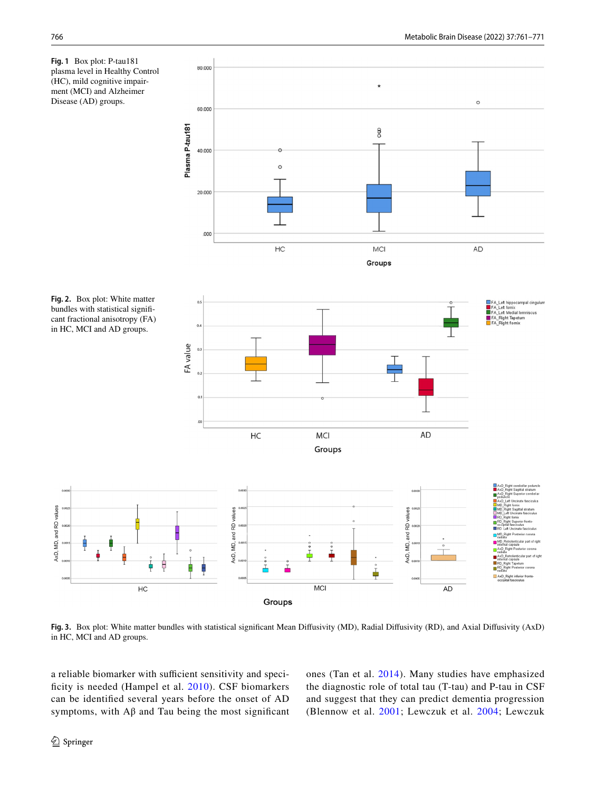

<span id="page-5-0"></span>

<span id="page-5-2"></span>**Fig. 3.** Box plot: White matter bundles with statistical signifcant Mean Difusivity (MD), Radial Difusivity (RD), and Axial Difusivity (AxD) in HC, MCI and AD groups.

a reliable biomarker with sufficient sensitivity and speci-ficity is needed (Hampel et al. [2010](#page-8-5)). CSF biomarkers can be identifed several years before the onset of AD symptoms, with  $A\beta$  and Tau being the most significant ones (Tan et al. [2014](#page-9-16)). Many studies have emphasized the diagnostic role of total tau (T-tau) and P-tau in CSF and suggest that they can predict dementia progression (Blennow et al. [2001;](#page-7-5) Lewczuk et al. [2004;](#page-8-12) Lewczuk

<span id="page-5-1"></span>alues

and RD

Θ,

AxD,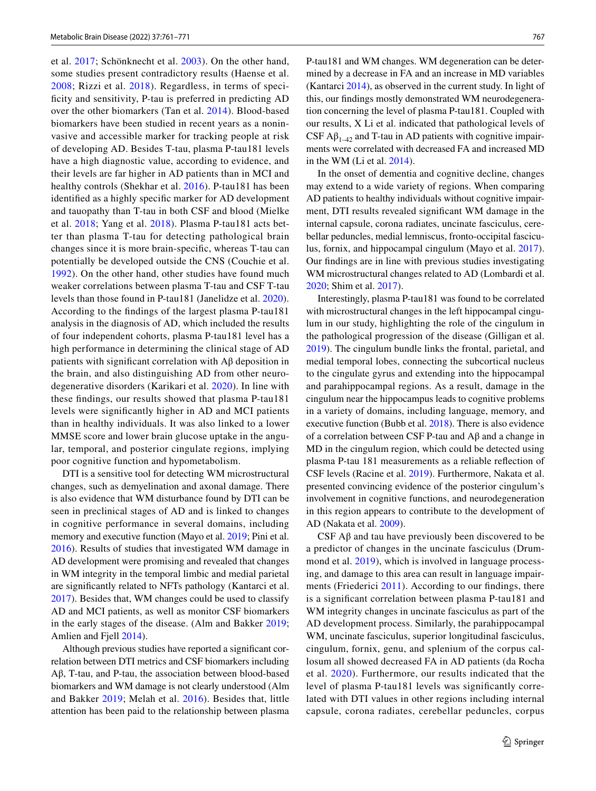et al. [2017](#page-8-13); Schönknecht et al. [2003\)](#page-9-17). On the other hand, some studies present contradictory results (Haense et al. [2008](#page-8-14); Rizzi et al. [2018](#page-9-18)). Regardless, in terms of specificity and sensitivity, P-tau is preferred in predicting AD over the other biomarkers (Tan et al. [2014\)](#page-9-16). Blood-based biomarkers have been studied in recent years as a noninvasive and accessible marker for tracking people at risk of developing AD. Besides T-tau, plasma P-tau181 levels have a high diagnostic value, according to evidence, and their levels are far higher in AD patients than in MCI and healthy controls (Shekhar et al. [2016](#page-9-19)). P-tau181 has been identifed as a highly specifc marker for AD development and tauopathy than T-tau in both CSF and blood (Mielke et al. [2018;](#page-9-9) Yang et al. [2018\)](#page-10-1). Plasma P-tau181 acts better than plasma T-tau for detecting pathological brain changes since it is more brain-specifc, whereas T-tau can potentially be developed outside the CNS (Couchie et al. [1992\)](#page-8-15). On the other hand, other studies have found much weaker correlations between plasma T-tau and CSF T-tau levels than those found in P-tau181 (Janelidze et al. [2020](#page-8-16)). According to the fndings of the largest plasma P-tau181 analysis in the diagnosis of AD, which included the results of four independent cohorts, plasma P-tau181 level has a high performance in determining the clinical stage of AD patients with signifcant correlation with Aβ deposition in the brain, and also distinguishing AD from other neurodegenerative disorders (Karikari et al. [2020](#page-8-6)). In line with these fndings, our results showed that plasma P-tau181 levels were signifcantly higher in AD and MCI patients than in healthy individuals. It was also linked to a lower MMSE score and lower brain glucose uptake in the angular, temporal, and posterior cingulate regions, implying poor cognitive function and hypometabolism.

DTI is a sensitive tool for detecting WM microstructural changes, such as demyelination and axonal damage. There is also evidence that WM disturbance found by DTI can be seen in preclinical stages of AD and is linked to changes in cognitive performance in several domains, including memory and executive function (Mayo et al. [2019;](#page-9-20) Pini et al. [2016](#page-9-6)). Results of studies that investigated WM damage in AD development were promising and revealed that changes in WM integrity in the temporal limbic and medial parietal are signifcantly related to NFTs pathology (Kantarci et al. [2017](#page-8-17)). Besides that, WM changes could be used to classify AD and MCI patients, as well as monitor CSF biomarkers in the early stages of the disease. (Alm and Bakker [2019](#page-7-6); Amlien and Fjell [2014\)](#page-7-7).

Although previous studies have reported a signifcant correlation between DTI metrics and CSF biomarkers including Aβ, T-tau, and P-tau, the association between blood-based biomarkers and WM damage is not clearly understood (Alm and Bakker [2019;](#page-7-6) Melah et al. [2016](#page-9-21)). Besides that, little attention has been paid to the relationship between plasma P-tau181 and WM changes. WM degeneration can be determined by a decrease in FA and an increase in MD variables (Kantarci [2014](#page-8-18)), as observed in the current study. In light of this, our fndings mostly demonstrated WM neurodegeneration concerning the level of plasma P-tau181. Coupled with our results, X Li et al. indicated that pathological levels of CSF  $\mathsf{A}\beta_{1-42}$  and T-tau in AD patients with cognitive impairments were correlated with decreased FA and increased MD in the WM (Li et al. [2014](#page-8-19)).

In the onset of dementia and cognitive decline, changes may extend to a wide variety of regions. When comparing AD patients to healthy individuals without cognitive impairment, DTI results revealed signifcant WM damage in the internal capsule, corona radiates, uncinate fasciculus, cerebellar peduncles, medial lemniscus, fronto-occipital fasciculus, fornix, and hippocampal cingulum (Mayo et al. [2017](#page-9-22)). Our fndings are in line with previous studies investigating WM microstructural changes related to AD (Lombardi et al. [2020](#page-9-23); Shim et al. [2017](#page-9-24)).

Interestingly, plasma P-tau181 was found to be correlated with microstructural changes in the left hippocampal cingulum in our study, highlighting the role of the cingulum in the pathological progression of the disease (Gilligan et al. [2019](#page-8-20)). The cingulum bundle links the frontal, parietal, and medial temporal lobes, connecting the subcortical nucleus to the cingulate gyrus and extending into the hippocampal and parahippocampal regions. As a result, damage in the cingulum near the hippocampus leads to cognitive problems in a variety of domains, including language, memory, and executive function (Bubb et al. [2018\)](#page-7-8). There is also evidence of a correlation between CSF P-tau and Aβ and a change in MD in the cingulum region, which could be detected using plasma P-tau 181 measurements as a reliable refection of CSF levels (Racine et al. [2019\)](#page-9-25). Furthermore, Nakata et al. presented convincing evidence of the posterior cingulum's involvement in cognitive functions, and neurodegeneration in this region appears to contribute to the development of AD (Nakata et al. [2009\)](#page-9-26).

CSF  $\text{A}\beta$  and tau have previously been discovered to be a predictor of changes in the uncinate fasciculus (Drummond et al. [2019\)](#page-8-21), which is involved in language processing, and damage to this area can result in language impair-ments (Friederici [2011\)](#page-8-22). According to our findings, there is a signifcant correlation between plasma P-tau181 and WM integrity changes in uncinate fasciculus as part of the AD development process. Similarly, the parahippocampal WM, uncinate fasciculus, superior longitudinal fasciculus, cingulum, fornix, genu, and splenium of the corpus callosum all showed decreased FA in AD patients (da Rocha et al. [2020\)](#page-8-23). Furthermore, our results indicated that the level of plasma P-tau181 levels was signifcantly correlated with DTI values in other regions including internal capsule, corona radiates, cerebellar peduncles, corpus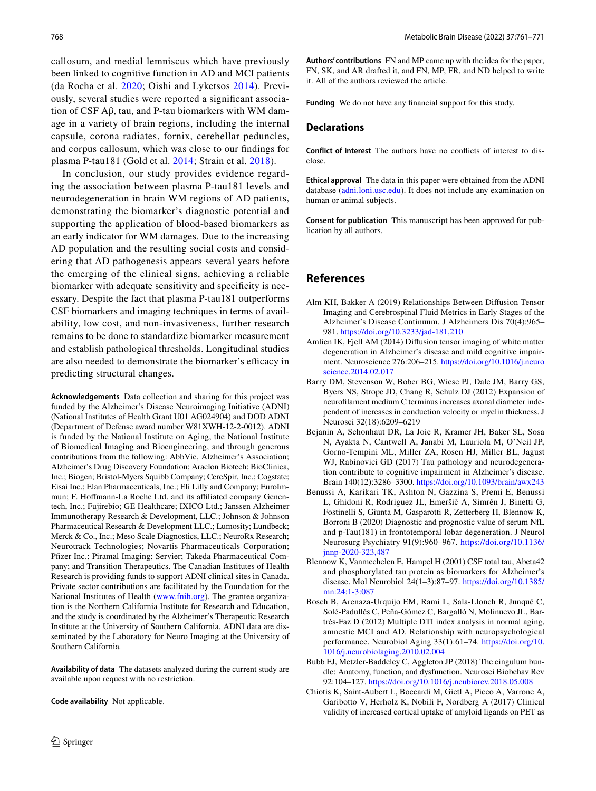callosum, and medial lemniscus which have previously been linked to cognitive function in AD and MCI patients (da Rocha et al. [2020](#page-8-23); Oishi and Lyketsos [2014](#page-9-27)). Previously, several studies were reported a signifcant association of CSF Aβ, tau, and P-tau biomarkers with WM damage in a variety of brain regions, including the internal capsule, corona radiates, fornix, cerebellar peduncles, and corpus callosum, which was close to our fndings for plasma P-tau181 (Gold et al. [2014;](#page-8-24) Strain et al. [2018](#page-9-28)).

In conclusion, our study provides evidence regarding the association between plasma P-tau181 levels and neurodegeneration in brain WM regions of AD patients, demonstrating the biomarker's diagnostic potential and supporting the application of blood-based biomarkers as an early indicator for WM damages. Due to the increasing AD population and the resulting social costs and considering that AD pathogenesis appears several years before the emerging of the clinical signs, achieving a reliable biomarker with adequate sensitivity and specifcity is necessary. Despite the fact that plasma P-tau181 outperforms CSF biomarkers and imaging techniques in terms of availability, low cost, and non-invasiveness, further research remains to be done to standardize biomarker measurement and establish pathological thresholds. Longitudinal studies are also needed to demonstrate the biomarker's efficacy in predicting structural changes.

**Acknowledgements** Data collection and sharing for this project was funded by the Alzheimer's Disease Neuroimaging Initiative (ADNI) (National Institutes of Health Grant U01 AG024904) and DOD ADNI (Department of Defense award number W81XWH-12-2-0012). ADNI is funded by the National Institute on Aging, the National Institute of Biomedical Imaging and Bioengineering, and through generous contributions from the following: AbbVie, Alzheimer's Association; Alzheimer's Drug Discovery Foundation; Araclon Biotech; BioClinica, Inc.; Biogen; Bristol-Myers Squibb Company; CereSpir, Inc.; Cogstate; Eisai Inc.; Elan Pharmaceuticals, Inc.; Eli Lilly and Company; EuroImmun; F. Hoffmann-La Roche Ltd. and its affiliated company Genentech, Inc.; Fujirebio; GE Healthcare; IXICO Ltd.; Janssen Alzheimer Immunotherapy Research & Development, LLC.; Johnson & Johnson Pharmaceutical Research & Development LLC.; Lumosity; Lundbeck; Merck & Co., Inc.; Meso Scale Diagnostics, LLC.; NeuroRx Research; Neurotrack Technologies; Novartis Pharmaceuticals Corporation; Pfizer Inc.; Piramal Imaging; Servier; Takeda Pharmaceutical Company; and Transition Therapeutics. The Canadian Institutes of Health Research is providing funds to support ADNI clinical sites in Canada. Private sector contributions are facilitated by the Foundation for the National Institutes of Health [\(www.fnih.org\)](http://www.fnih.org). The grantee organization is the Northern California Institute for Research and Education, and the study is coordinated by the Alzheimer's Therapeutic Research Institute at the University of Southern California. ADNI data are disseminated by the Laboratory for Neuro Imaging at the University of Southern California*.*

**Availability of data** The datasets analyzed during the current study are available upon request with no restriction.

**Code availability** Not applicable.

**Authors' contributions** FN and MP came up with the idea for the paper, FN, SK, and AR drafted it, and FN, MP, FR, and ND helped to write it. All of the authors reviewed the article.

**Funding** We do not have any fnancial support for this study.

#### **Declarations**

**Conflict of interest** The authors have no conficts of interest to disclose.

**Ethical approval** The data in this paper were obtained from the ADNI database [\(adni.loni.usc.edu\)](http://adni.loni.usc.edu). It does not include any examination on human or animal subjects.

**Consent for publication** This manuscript has been approved for publication by all authors.

## **References**

- <span id="page-7-6"></span>Alm KH, Bakker A (2019) Relationships Between Difusion Tensor Imaging and Cerebrospinal Fluid Metrics in Early Stages of the Alzheimer's Disease Continuum. J Alzheimers Dis 70(4):965– 981.<https://doi.org/10.3233/jad-181,210>
- <span id="page-7-7"></span>Amlien IK, Fjell AM (2014) Difusion tensor imaging of white matter degeneration in Alzheimer's disease and mild cognitive impairment. Neuroscience 276:206–215. [https://doi.org/10.1016/j.neuro](https://doi.org/10.1016/j.neuroscience.2014.02.017) [science.2014.02.017](https://doi.org/10.1016/j.neuroscience.2014.02.017)
- <span id="page-7-4"></span>Barry DM, Stevenson W, Bober BG, Wiese PJ, Dale JM, Barry GS, Byers NS, Strope JD, Chang R, Schulz DJ (2012) Expansion of neuroflament medium C terminus increases axonal diameter independent of increases in conduction velocity or myelin thickness. J Neurosci 32(18):6209–6219
- <span id="page-7-2"></span>Bejanin A, Schonhaut DR, La Joie R, Kramer JH, Baker SL, Sosa N, Ayakta N, Cantwell A, Janabi M, Lauriola M, O'Neil JP, Gorno-Tempini ML, Miller ZA, Rosen HJ, Miller BL, Jagust WJ, Rabinovici GD (2017) Tau pathology and neurodegeneration contribute to cognitive impairment in Alzheimer's disease. Brain 140(12):3286–3300.<https://doi.org/10.1093/brain/awx243>
- <span id="page-7-3"></span>Benussi A, Karikari TK, Ashton N, Gazzina S, Premi E, Benussi L, Ghidoni R, Rodriguez JL, Emeršič A, Simrén J, Binetti G, Fostinelli S, Giunta M, Gasparotti R, Zetterberg H, Blennow K, Borroni B (2020) Diagnostic and prognostic value of serum NfL and p-Tau(181) in frontotemporal lobar degeneration. J Neurol Neurosurg Psychiatry 91(9):960–967. [https://doi.org/10.1136/](https://doi.org/10.1136/jnnp-2020-323,487) [jnnp-2020-323,487](https://doi.org/10.1136/jnnp-2020-323,487)
- <span id="page-7-5"></span>Blennow K, Vanmechelen E, Hampel H (2001) CSF total tau, Abeta42 and phosphorylated tau protein as biomarkers for Alzheimer's disease. Mol Neurobiol 24(1–3):87–97. [https://doi.org/10.1385/](https://doi.org/10.1385/mn:24:1-3:087) [mn:24:1-3:087](https://doi.org/10.1385/mn:24:1-3:087)
- <span id="page-7-0"></span>Bosch B, Arenaza-Urquijo EM, Rami L, Sala-Llonch R, Junqué C, Solé-Padullés C, Peña-Gómez C, Bargalló N, Molinuevo JL, Bartrés-Faz D (2012) Multiple DTI index analysis in normal aging, amnestic MCI and AD. Relationship with neuropsychological performance. Neurobiol Aging 33(1):61–74. [https://doi.org/10.](https://doi.org/10.1016/j.neurobiolaging.2010.02.004) [1016/j.neurobiolaging.2010.02.004](https://doi.org/10.1016/j.neurobiolaging.2010.02.004)
- <span id="page-7-8"></span>Bubb EJ, Metzler-Baddeley C, Aggleton JP (2018) The cingulum bundle: Anatomy, function, and dysfunction. Neurosci Biobehav Rev 92:104–127.<https://doi.org/10.1016/j.neubiorev.2018.05.008>
- <span id="page-7-1"></span>Chiotis K, Saint-Aubert L, Boccardi M, Gietl A, Picco A, Varrone A, Garibotto V, Herholz K, Nobili F, Nordberg A (2017) Clinical validity of increased cortical uptake of amyloid ligands on PET as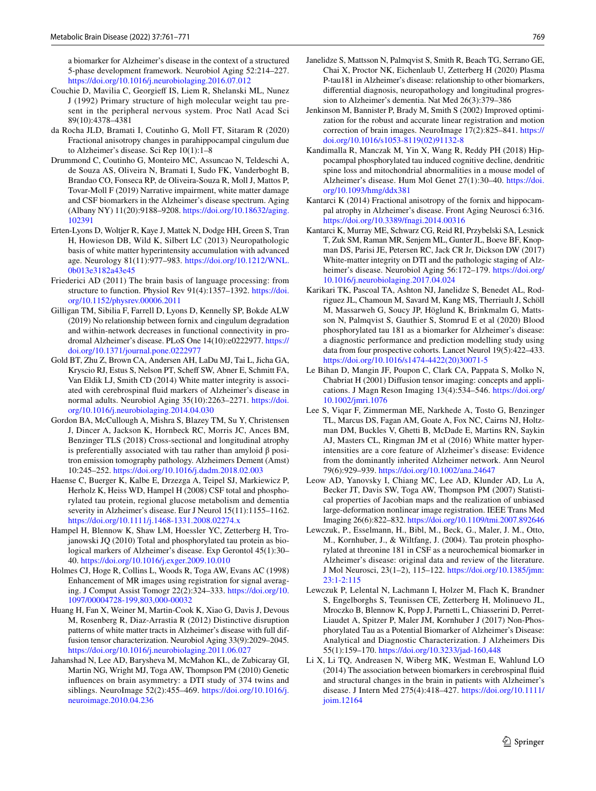a biomarker for Alzheimer's disease in the context of a structured 5-phase development framework. Neurobiol Aging 52:214–227. <https://doi.org/10.1016/j.neurobiolaging.2016.07.012>

- <span id="page-8-15"></span>Couchie D, Mavilia C, Georgief IS, Liem R, Shelanski ML, Nunez J (1992) Primary structure of high molecular weight tau present in the peripheral nervous system. Proc Natl Acad Sci 89(10):4378–4381
- <span id="page-8-23"></span>da Rocha JLD, Bramati I, Coutinho G, Moll FT, Sitaram R (2020) Fractional anisotropy changes in parahippocampal cingulum due to Alzheimer's disease. Sci Rep 10(1):1–8
- <span id="page-8-21"></span>Drummond C, Coutinho G, Monteiro MC, Assuncao N, Teldeschi A, de Souza AS, Oliveira N, Bramati I, Sudo FK, Vanderboght B, Brandao CO, Fonseca RP, de Oliveira-Souza R, Moll J, Mattos P, Tovar-Moll F (2019) Narrative impairment, white matter damage and CSF biomarkers in the Alzheimer's disease spectrum. Aging (Albany NY) 11(20):9188–9208. [https://doi.org/10.18632/aging.](https://doi.org/10.18632/aging.102391) [102391](https://doi.org/10.18632/aging.102391)
- <span id="page-8-2"></span>Erten-Lyons D, Woltjer R, Kaye J, Mattek N, Dodge HH, Green S, Tran H, Howieson DB, Wild K, Silbert LC (2013) Neuropathologic basis of white matter hyperintensity accumulation with advanced age. Neurology 81(11):977–983. [https://doi.org/10.1212/WNL.](https://doi.org/10.1212/WNL.0b013e3182a43e45) [0b013e3182a43e45](https://doi.org/10.1212/WNL.0b013e3182a43e45)
- <span id="page-8-22"></span>Friederici AD (2011) The brain basis of language processing: from structure to function. Physiol Rev 91(4):1357–1392. [https://doi.](https://doi.org/10.1152/physrev.00006.2011) [org/10.1152/physrev.00006.2011](https://doi.org/10.1152/physrev.00006.2011)
- <span id="page-8-20"></span>Gilligan TM, Sibilia F, Farrell D, Lyons D, Kennelly SP, Bokde ALW (2019) No relationship between fornix and cingulum degradation and within-network decreases in functional connectivity in prodromal Alzheimer's disease. PLoS One 14(10):e0222977. [https://](https://doi.org/10.1371/journal.pone.0222977) [doi.org/10.1371/journal.pone.0222977](https://doi.org/10.1371/journal.pone.0222977)
- <span id="page-8-24"></span>Gold BT, Zhu Z, Brown CA, Andersen AH, LaDu MJ, Tai L, Jicha GA, Kryscio RJ, Estus S, Nelson PT, Schef SW, Abner E, Schmitt FA, Van Eldik LJ, Smith CD (2014) White matter integrity is associated with cerebrospinal fuid markers of Alzheimer's disease in normal adults. Neurobiol Aging 35(10):2263–2271. [https://doi.](https://doi.org/10.1016/j.neurobiolaging.2014.04.030) [org/10.1016/j.neurobiolaging.2014.04.030](https://doi.org/10.1016/j.neurobiolaging.2014.04.030)
- <span id="page-8-4"></span>Gordon BA, McCullough A, Mishra S, Blazey TM, Su Y, Christensen J, Dincer A, Jackson K, Hornbeck RC, Morris JC, Ances BM, Benzinger TLS (2018) Cross-sectional and longitudinal atrophy is preferentially associated with tau rather than amyloid β positron emission tomography pathology. Alzheimers Dement (Amst) 10:245–252.<https://doi.org/10.1016/j.dadm.2018.02.003>
- <span id="page-8-14"></span>Haense C, Buerger K, Kalbe E, Drzezga A, Teipel SJ, Markiewicz P, Herholz K, Heiss WD, Hampel H (2008) CSF total and phosphorylated tau protein, regional glucose metabolism and dementia severity in Alzheimer's disease. Eur J Neurol 15(11):1155–1162. <https://doi.org/10.1111/j.1468-1331.2008.02274.x>
- <span id="page-8-5"></span>Hampel H, Blennow K, Shaw LM, Hoessler YC, Zetterberg H, Trojanowski JQ (2010) Total and phosphorylated tau protein as biological markers of Alzheimer's disease. Exp Gerontol 45(1):30– 40. <https://doi.org/10.1016/j.exger.2009.10.010>
- <span id="page-8-8"></span>Holmes CJ, Hoge R, Collins L, Woods R, Toga AW, Evans AC (1998) Enhancement of MR images using registration for signal averaging. J Comput Assist Tomogr 22(2):324–333. [https://doi.org/10.](https://doi.org/10.1097/00004728-199,803,000-00032) [1097/00004728-199,803,000-00032](https://doi.org/10.1097/00004728-199,803,000-00032)
- <span id="page-8-3"></span>Huang H, Fan X, Weiner M, Martin-Cook K, Xiao G, Davis J, Devous M, Rosenberg R, Diaz-Arrastia R (2012) Distinctive disruption patterns of white matter tracts in Alzheimer's disease with full diffusion tensor characterization. Neurobiol Aging 33(9):2029–2045. <https://doi.org/10.1016/j.neurobiolaging.2011.06.027>
- <span id="page-8-11"></span>Jahanshad N, Lee AD, Barysheva M, McMahon KL, de Zubicaray GI, Martin NG, Wright MJ, Toga AW, Thompson PM (2010) Genetic infuences on brain asymmetry: a DTI study of 374 twins and siblings. NeuroImage 52(2):455–469. [https://doi.org/10.1016/j.](https://doi.org/10.1016/j.neuroimage.2010.04.236) [neuroimage.2010.04.236](https://doi.org/10.1016/j.neuroimage.2010.04.236)
- <span id="page-8-16"></span>Janelidze S, Mattsson N, Palmqvist S, Smith R, Beach TG, Serrano GE, Chai X, Proctor NK, Eichenlaub U, Zetterberg H (2020) Plasma P-tau181 in Alzheimer's disease: relationship to other biomarkers, diferential diagnosis, neuropathology and longitudinal progression to Alzheimer's dementia. Nat Med 26(3):379–386
- <span id="page-8-9"></span>Jenkinson M, Bannister P, Brady M, Smith S (2002) Improved optimization for the robust and accurate linear registration and motion correction of brain images. NeuroImage 17(2):825–841. [https://](https://doi.org/10.1016/s1053-8119(02)91132-8) [doi.org/10.1016/s1053-8119\(02\)91132-8](https://doi.org/10.1016/s1053-8119(02)91132-8)
- <span id="page-8-0"></span>Kandimalla R, Manczak M, Yin X, Wang R, Reddy PH (2018) Hippocampal phosphorylated tau induced cognitive decline, dendritic spine loss and mitochondrial abnormalities in a mouse model of Alzheimer's disease. Hum Mol Genet 27(1):30–40. [https://doi.](https://doi.org/10.1093/hmg/ddx381) [org/10.1093/hmg/ddx381](https://doi.org/10.1093/hmg/ddx381)
- <span id="page-8-18"></span>Kantarci K (2014) Fractional anisotropy of the fornix and hippocampal atrophy in Alzheimer's disease. Front Aging Neurosci 6:316. <https://doi.org/10.3389/fnagi.2014.00316>
- <span id="page-8-17"></span>Kantarci K, Murray ME, Schwarz CG, Reid RI, Przybelski SA, Lesnick T, Zuk SM, Raman MR, Senjem ML, Gunter JL, Boeve BF, Knopman DS, Parisi JE, Petersen RC, Jack CR Jr, Dickson DW (2017) White-matter integrity on DTI and the pathologic staging of Alzheimer's disease. Neurobiol Aging 56:172-179. [https://doi.org/](https://doi.org/10.1016/j.neurobiolaging.2017.04.024) [10.1016/j.neurobiolaging.2017.04.024](https://doi.org/10.1016/j.neurobiolaging.2017.04.024)
- <span id="page-8-6"></span>Karikari TK, Pascoal TA, Ashton NJ, Janelidze S, Benedet AL, Rodriguez JL, Chamoun M, Savard M, Kang MS, Therriault J, Schöll M, Massarweh G, Soucy JP, Höglund K, Brinkmalm G, Mattsson N, Palmqvist S, Gauthier S, Stomrud E et al (2020) Blood phosphorylated tau 181 as a biomarker for Alzheimer's disease: a diagnostic performance and prediction modelling study using data from four prospective cohorts. Lancet Neurol 19(5):422–433. [https://doi.org/10.1016/s1474-4422\(20\)30071-5](https://doi.org/10.1016/s1474-4422(20)30071-5)
- <span id="page-8-7"></span>Le Bihan D, Mangin JF, Poupon C, Clark CA, Pappata S, Molko N, Chabriat H (2001) Difusion tensor imaging: concepts and applications. J Magn Reson Imaging 13(4):534–546. [https://doi.org/](https://doi.org/10.1002/jmri.1076) [10.1002/jmri.1076](https://doi.org/10.1002/jmri.1076)
- <span id="page-8-1"></span>Lee S, Viqar F, Zimmerman ME, Narkhede A, Tosto G, Benzinger TL, Marcus DS, Fagan AM, Goate A, Fox NC, Cairns NJ, Holtzman DM, Buckles V, Ghetti B, McDade E, Martins RN, Saykin AJ, Masters CL, Ringman JM et al (2016) White matter hyperintensities are a core feature of Alzheimer's disease: Evidence from the dominantly inherited Alzheimer network. Ann Neurol 79(6):929–939.<https://doi.org/10.1002/ana.24647>
- <span id="page-8-10"></span>Leow AD, Yanovsky I, Chiang MC, Lee AD, Klunder AD, Lu A, Becker JT, Davis SW, Toga AW, Thompson PM (2007) Statistical properties of Jacobian maps and the realization of unbiased large-deformation nonlinear image registration. IEEE Trans Med Imaging 26(6):822–832.<https://doi.org/10.1109/tmi.2007.892646>
- <span id="page-8-12"></span>Lewczuk, P., Esselmann, H., Bibl, M., Beck, G., Maler, J. M., Otto, M., Kornhuber, J., & Wiltfang, J. (2004). Tau protein phosphorylated at threonine 181 in CSF as a neurochemical biomarker in Alzheimer's disease: original data and review of the literature. J Mol Neurosci, 23(1–2), 115–122. [https://doi.org/10.1385/jmn:](https://doi.org/10.1385/jmn:23:1-2:115) [23:1-2:115](https://doi.org/10.1385/jmn:23:1-2:115)
- <span id="page-8-13"></span>Lewczuk P, Lelental N, Lachmann I, Holzer M, Flach K, Brandner S, Engelborghs S, Teunissen CE, Zetterberg H, Molinuevo JL, Mroczko B, Blennow K, Popp J, Parnetti L, Chiasserini D, Perret-Liaudet A, Spitzer P, Maler JM, Kornhuber J (2017) Non-Phosphorylated Tau as a Potential Biomarker of Alzheimer's Disease: Analytical and Diagnostic Characterization. J Alzheimers Dis 55(1):159–170.<https://doi.org/10.3233/jad-160,448>
- <span id="page-8-19"></span>Li X, Li TQ, Andreasen N, Wiberg MK, Westman E, Wahlund LO (2014) The association between biomarkers in cerebrospinal fuid and structural changes in the brain in patients with Alzheimer's disease. J Intern Med 275(4):418–427. [https://doi.org/10.1111/](https://doi.org/10.1111/joim.12164) [joim.12164](https://doi.org/10.1111/joim.12164)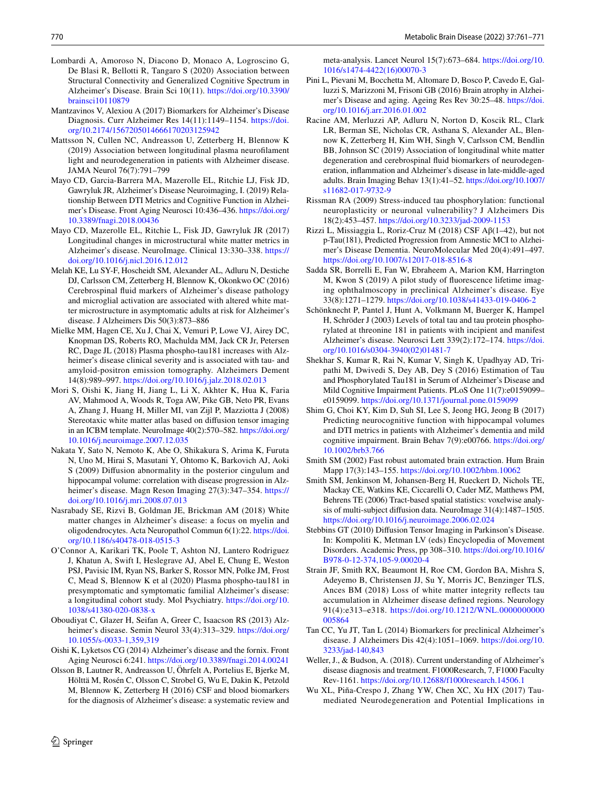- <span id="page-9-23"></span>Lombardi A, Amoroso N, Diacono D, Monaco A, Logroscino G, De Blasi R, Bellotti R, Tangaro S (2020) Association between Structural Connectivity and Generalized Cognitive Spectrum in Alzheimer's Disease. Brain Sci 10(11). [https://doi.org/10.3390/](https://doi.org/10.3390/brainsci10110879) [brainsci10110879](https://doi.org/10.3390/brainsci10110879)
- <span id="page-9-0"></span>Mantzavinos V, Alexiou A (2017) Biomarkers for Alzheimer's Disease Diagnosis. Curr Alzheimer Res 14(11):1149–1154. [https://doi.](https://doi.org/10.2174/1567205014666170203125942) [org/10.2174/1567205014666170203125942](https://doi.org/10.2174/1567205014666170203125942)
- <span id="page-9-14"></span>Mattsson N, Cullen NC, Andreasson U, Zetterberg H, Blennow K (2019) Association between longitudinal plasma neuroflament light and neurodegeneration in patients with Alzheimer disease. JAMA Neurol 76(7):791–799
- <span id="page-9-20"></span>Mayo CD, Garcia-Barrera MA, Mazerolle EL, Ritchie LJ, Fisk JD, Gawryluk JR, Alzheimer's Disease Neuroimaging, I. (2019) Relationship Between DTI Metrics and Cognitive Function in Alzheimer's Disease. Front Aging Neurosci 10:436–436. [https://doi.org/](https://doi.org/10.3389/fnagi.2018.00436) [10.3389/fnagi.2018.00436](https://doi.org/10.3389/fnagi.2018.00436)
- <span id="page-9-22"></span>Mayo CD, Mazerolle EL, Ritchie L, Fisk JD, Gawryluk JR (2017) Longitudinal changes in microstructural white matter metrics in Alzheimer's disease. NeuroImage. Clinical 13:330–338. [https://](https://doi.org/10.1016/j.nicl.2016.12.012) [doi.org/10.1016/j.nicl.2016.12.012](https://doi.org/10.1016/j.nicl.2016.12.012)
- <span id="page-9-21"></span>Melah KE, Lu SY-F, Hoscheidt SM, Alexander AL, Adluru N, Destiche DJ, Carlsson CM, Zetterberg H, Blennow K, Okonkwo OC (2016) Cerebrospinal fuid markers of Alzheimer's disease pathology and microglial activation are associated with altered white matter microstructure in asymptomatic adults at risk for Alzheimer's disease. J Alzheimers Dis 50(3):873–886
- <span id="page-9-9"></span>Mielke MM, Hagen CE, Xu J, Chai X, Vemuri P, Lowe VJ, Airey DC, Knopman DS, Roberts RO, Machulda MM, Jack CR Jr, Petersen RC, Dage JL (2018) Plasma phospho-tau181 increases with Alzheimer's disease clinical severity and is associated with tau- and amyloid-positron emission tomography. Alzheimers Dement 14(8):989–997.<https://doi.org/10.1016/j.jalz.2018.02.013>
- <span id="page-9-12"></span>Mori S, Oishi K, Jiang H, Jiang L, Li X, Akhter K, Hua K, Faria AV, Mahmood A, Woods R, Toga AW, Pike GB, Neto PR, Evans A, Zhang J, Huang H, Miller MI, van Zijl P, Mazziotta J (2008) Stereotaxic white matter atlas based on difusion tensor imaging in an ICBM template. NeuroImage 40(2):570–582. [https://doi.org/](https://doi.org/10.1016/j.neuroimage.2007.12.035) [10.1016/j.neuroimage.2007.12.035](https://doi.org/10.1016/j.neuroimage.2007.12.035)
- <span id="page-9-26"></span>Nakata Y, Sato N, Nemoto K, Abe O, Shikakura S, Arima K, Furuta N, Uno M, Hirai S, Masutani Y, Ohtomo K, Barkovich AJ, Aoki S (2009) Difusion abnormality in the posterior cingulum and hippocampal volume: correlation with disease progression in Alzheimer's disease. Magn Reson Imaging 27(3):347-354. [https://](https://doi.org/10.1016/j.mri.2008.07.013) [doi.org/10.1016/j.mri.2008.07.013](https://doi.org/10.1016/j.mri.2008.07.013)
- <span id="page-9-5"></span>Nasrabady SE, Rizvi B, Goldman JE, Brickman AM (2018) White matter changes in Alzheimer's disease: a focus on myelin and oligodendrocytes. Acta Neuropathol Commun 6(1):22. [https://doi.](https://doi.org/10.1186/s40478-018-0515-3) [org/10.1186/s40478-018-0515-3](https://doi.org/10.1186/s40478-018-0515-3)
- <span id="page-9-8"></span>O'Connor A, Karikari TK, Poole T, Ashton NJ, Lantero Rodriguez J, Khatun A, Swift I, Heslegrave AJ, Abel E, Chung E, Weston PSJ, Pavisic IM, Ryan NS, Barker S, Rossor MN, Polke JM, Frost C, Mead S, Blennow K et al (2020) Plasma phospho-tau181 in presymptomatic and symptomatic familial Alzheimer's disease: a longitudinal cohort study. Mol Psychiatry. [https://doi.org/10.](https://doi.org/10.1038/s41380-020-0838-x) [1038/s41380-020-0838-x](https://doi.org/10.1038/s41380-020-0838-x)
- <span id="page-9-1"></span>Oboudiyat C, Glazer H, Seifan A, Greer C, Isaacson RS (2013) Alzheimer's disease. Semin Neurol 33(4):313-329. [https://doi.org/](https://doi.org/10.1055/s-0033-1,359,319) [10.1055/s-0033-1,359,319](https://doi.org/10.1055/s-0033-1,359,319)
- <span id="page-9-27"></span>Oishi K, Lyketsos CG (2014) Alzheimer's disease and the fornix. Front Aging Neurosci 6:241. <https://doi.org/10.3389/fnagi.2014.00241>
- <span id="page-9-10"></span>Olsson B, Lautner R, Andreasson U, Öhrfelt A, Portelius E, Bjerke M, Hölttä M, Rosén C, Olsson C, Strobel G, Wu E, Dakin K, Petzold M, Blennow K, Zetterberg H (2016) CSF and blood biomarkers for the diagnosis of Alzheimer's disease: a systematic review and

meta-analysis. Lancet Neurol 15(7):673–684. [https://doi.org/10.](https://doi.org/10.1016/s1474-4422(16)00070-3) [1016/s1474-4422\(16\)00070-3](https://doi.org/10.1016/s1474-4422(16)00070-3)

- <span id="page-9-6"></span>Pini L, Pievani M, Bocchetta M, Altomare D, Bosco P, Cavedo E, Galluzzi S, Marizzoni M, Frisoni GB (2016) Brain atrophy in Alzheimer's Disease and aging. Ageing Res Rev 30:25–48. [https://doi.](https://doi.org/10.1016/j.arr.2016.01.002) [org/10.1016/j.arr.2016.01.002](https://doi.org/10.1016/j.arr.2016.01.002)
- <span id="page-9-25"></span>Racine AM, Merluzzi AP, Adluru N, Norton D, Koscik RL, Clark LR, Berman SE, Nicholas CR, Asthana S, Alexander AL, Blennow K, Zetterberg H, Kim WH, Singh V, Carlsson CM, Bendlin BB, Johnson SC (2019) Association of longitudinal white matter degeneration and cerebrospinal fuid biomarkers of neurodegeneration, infammation and Alzheimer's disease in late-middle-aged adults. Brain Imaging Behav 13(1):41–52. [https://doi.org/10.1007/](https://doi.org/10.1007/s11682-017-9732-9) [s11682-017-9732-9](https://doi.org/10.1007/s11682-017-9732-9)
- <span id="page-9-7"></span>Rissman RA (2009) Stress-induced tau phosphorylation: functional neuroplasticity or neuronal vulnerability? J Alzheimers Dis 18(2):453–457.<https://doi.org/10.3233/jad-2009-1153>
- <span id="page-9-18"></span>Rizzi L, Missiaggia L, Roriz-Cruz M (2018) CSF Aβ(1–42), but not p-Tau(181), Predicted Progression from Amnestic MCI to Alzheimer's Disease Dementia. NeuroMolecular Med 20(4):491–497. <https://doi.org/10.1007/s12017-018-8516-8>
- <span id="page-9-4"></span>Sadda SR, Borrelli E, Fan W, Ebraheem A, Marion KM, Harrington M, Kwon S (2019) A pilot study of fuorescence lifetime imaging ophthalmoscopy in preclinical Alzheimer's disease. Eye 33(8):1271–1279.<https://doi.org/10.1038/s41433-019-0406-2>
- <span id="page-9-17"></span>Schönknecht P, Pantel J, Hunt A, Volkmann M, Buerger K, Hampel H, Schröder J (2003) Levels of total tau and tau protein phosphorylated at threonine 181 in patients with incipient and manifest Alzheimer's disease. Neurosci Lett 339(2):172–174. [https://doi.](https://doi.org/10.1016/s0304-3940(02)01481-7) [org/10.1016/s0304-3940\(02\)01481-7](https://doi.org/10.1016/s0304-3940(02)01481-7)
- <span id="page-9-19"></span>Shekhar S, Kumar R, Rai N, Kumar V, Singh K, Upadhyay AD, Tripathi M, Dwivedi S, Dey AB, Dey S (2016) Estimation of Tau and Phosphorylated Tau181 in Serum of Alzheimer's Disease and Mild Cognitive Impairment Patients. PLoS One 11(7):e0159099– e0159099.<https://doi.org/10.1371/journal.pone.0159099>
- <span id="page-9-24"></span>Shim G, Choi KY, Kim D, Suh SI, Lee S, Jeong HG, Jeong B (2017) Predicting neurocognitive function with hippocampal volumes and DTI metrics in patients with Alzheimer's dementia and mild cognitive impairment. Brain Behav 7(9):e00766. [https://doi.org/](https://doi.org/10.1002/brb3.766) [10.1002/brb3.766](https://doi.org/10.1002/brb3.766)
- <span id="page-9-11"></span>Smith SM (2002) Fast robust automated brain extraction. Hum Brain Mapp 17(3):143–155. <https://doi.org/10.1002/hbm.10062>
- <span id="page-9-13"></span>Smith SM, Jenkinson M, Johansen-Berg H, Rueckert D, Nichols TE, Mackay CE, Watkins KE, Ciccarelli O, Cader MZ, Matthews PM, Behrens TE (2006) Tract-based spatial statistics: voxelwise analysis of multi-subject difusion data. NeuroImage 31(4):1487–1505. <https://doi.org/10.1016/j.neuroimage.2006.02.024>
- <span id="page-9-15"></span>Stebbins GT (2010) Difusion Tensor Imaging in Parkinson's Disease. In: Kompoliti K, Metman LV (eds) Encyclopedia of Movement Disorders. Academic Press, pp 308–310. [https://doi.org/10.1016/](https://doi.org/10.1016/B978-0-12-374,105-9.00020-4) [B978-0-12-374,105-9.00020-4](https://doi.org/10.1016/B978-0-12-374,105-9.00020-4)
- <span id="page-9-28"></span>Strain JF, Smith RX, Beaumont H, Roe CM, Gordon BA, Mishra S, Adeyemo B, Christensen JJ, Su Y, Morris JC, Benzinger TLS, Ances BM (2018) Loss of white matter integrity refects tau accumulation in Alzheimer disease defned regions. Neurology 91(4):e313–e318. [https://doi.org/10.1212/WNL.0000000000](https://doi.org/10.1212/WNL.0000000000005864) [005864](https://doi.org/10.1212/WNL.0000000000005864)
- <span id="page-9-16"></span>Tan CC, Yu JT, Tan L (2014) Biomarkers for preclinical Alzheimer's disease. J Alzheimers Dis 42(4):1051–1069. [https://doi.org/10.](https://doi.org/10.3233/jad-140,843) [3233/jad-140,843](https://doi.org/10.3233/jad-140,843)
- <span id="page-9-2"></span>Weller, J., & Budson, A. (2018). Current understanding of Alzheimer's disease diagnosis and treatment. F1000Research, 7, F1000 Faculty Rev-1161. <https://doi.org/10.12688/f1000research.14506.1>
- <span id="page-9-3"></span>Wu XL, Piña-Crespo J, Zhang YW, Chen XC, Xu HX (2017) Taumediated Neurodegeneration and Potential Implications in